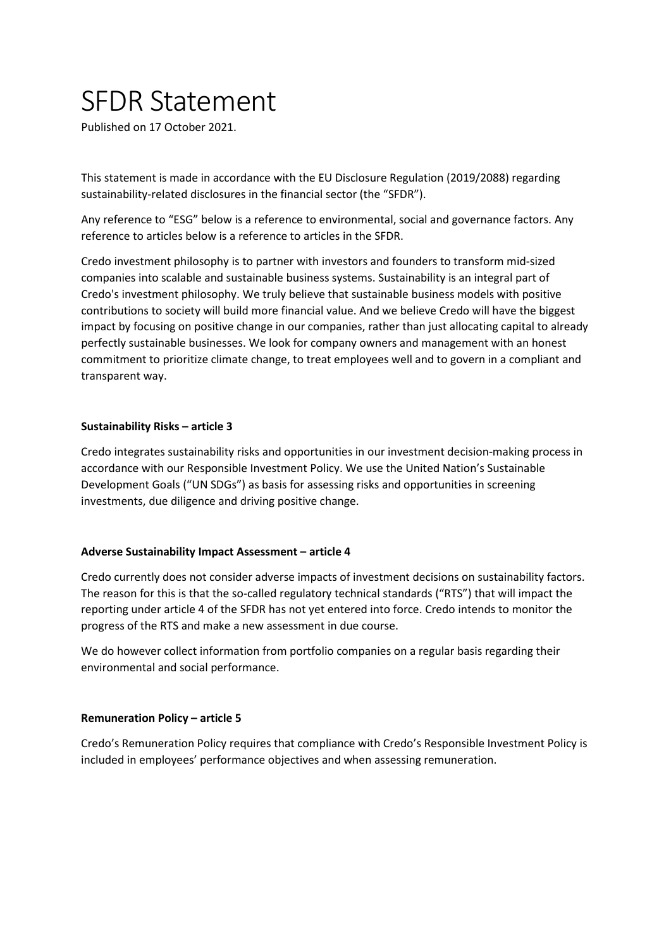# SFDR Statement

Published on 17 October 2021.

This statement is made in accordance with the EU Disclosure Regulation (2019/2088) regarding sustainability-related disclosures in the financial sector (the "SFDR").

Any reference to "ESG" below is a reference to environmental, social and governance factors. Any reference to articles below is a reference to articles in the SFDR.

Credo investment philosophy is to partner with investors and founders to transform mid-sized companies into scalable and sustainable business systems. Sustainability is an integral part of Credo's investment philosophy. We truly believe that sustainable business models with positive contributions to society will build more financial value. And we believe Credo will have the biggest impact by focusing on positive change in our companies, rather than just allocating capital to already perfectly sustainable businesses. We look for company owners and management with an honest commitment to prioritize climate change, to treat employees well and to govern in a compliant and transparent way.

#### **Sustainability Risks – article 3**

Credo integrates sustainability risks and opportunities in our investment decision-making process in accordance with our Responsible Investment Policy. We use the United Nation's [Sustainable](https://sdgs.un.org/goals)  [Development Goals](https://sdgs.un.org/goals) ("UN SDGs") as basis for assessing risks and opportunities in screening investments, due diligence and driving positive change.

#### **Adverse Sustainability Impact Assessment – article 4**

Credo currently does not consider adverse impacts of investment decisions on sustainability factors. The reason for this is that the so-called regulatory technical standards ("RTS") that will impact the reporting under article 4 of the SFDR has not yet entered into force. Credo intends to monitor the progress of the RTS and make a new assessment in due course.

We do however collect information from portfolio companies on a regular basis regarding their environmental and social performance.

#### **Remuneration Policy – article 5**

Credo's Remuneration Policy requires that compliance with Credo's Responsible Investment Policy is included in employees' performance objectives and when assessing remuneration.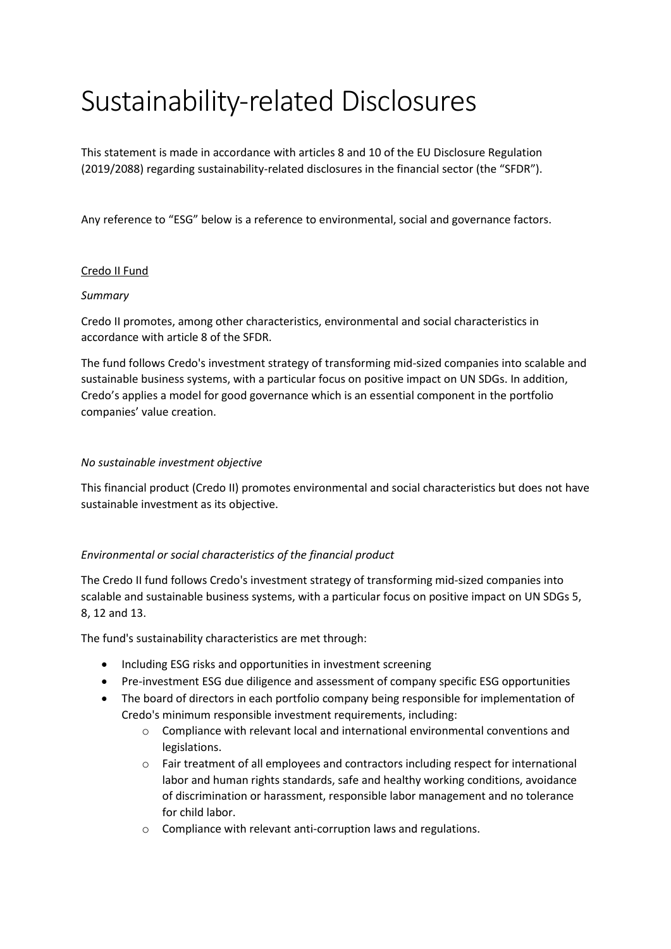# Sustainability-related Disclosures

This statement is made in accordance with articles 8 and 10 of the EU Disclosure Regulation (2019/2088) regarding sustainability-related disclosures in the financial sector (the "SFDR").

Any reference to "ESG" below is a reference to environmental, social and governance factors.

# Credo II Fund

## *Summary*

Credo II promotes, among other characteristics, environmental and social characteristics in accordance with article 8 of the SFDR.

The fund follows Credo's investment strategy of transforming mid-sized companies into scalable and sustainable business systems, with a particular focus on positive impact on UN SDGs. In addition, Credo's applies a model for good governance which is an essential component in the portfolio companies' value creation.

## *No sustainable investment objective*

This financial product (Credo II) promotes environmental and social characteristics but does not have sustainable investment as its objective.

## *Environmental or social characteristics of the financial product*

The Credo II fund follows Credo's investment strategy of transforming mid-sized companies into scalable and sustainable business systems, with a particular focus on positive impact on UN SDGs 5, 8, 12 and 13.

The fund's sustainability characteristics are met through:

- Including ESG risks and opportunities in investment screening
- Pre-investment ESG due diligence and assessment of company specific ESG opportunities
- The board of directors in each portfolio company being responsible for implementation of Credo's minimum responsible investment requirements, including:
	- o Compliance with relevant local and international environmental conventions and legislations.
	- o Fair treatment of all employees and contractors including respect for international labor and human rights standards, safe and healthy working conditions, avoidance of discrimination or harassment, responsible labor management and no tolerance for child labor.
	- o Compliance with relevant anti-corruption laws and regulations.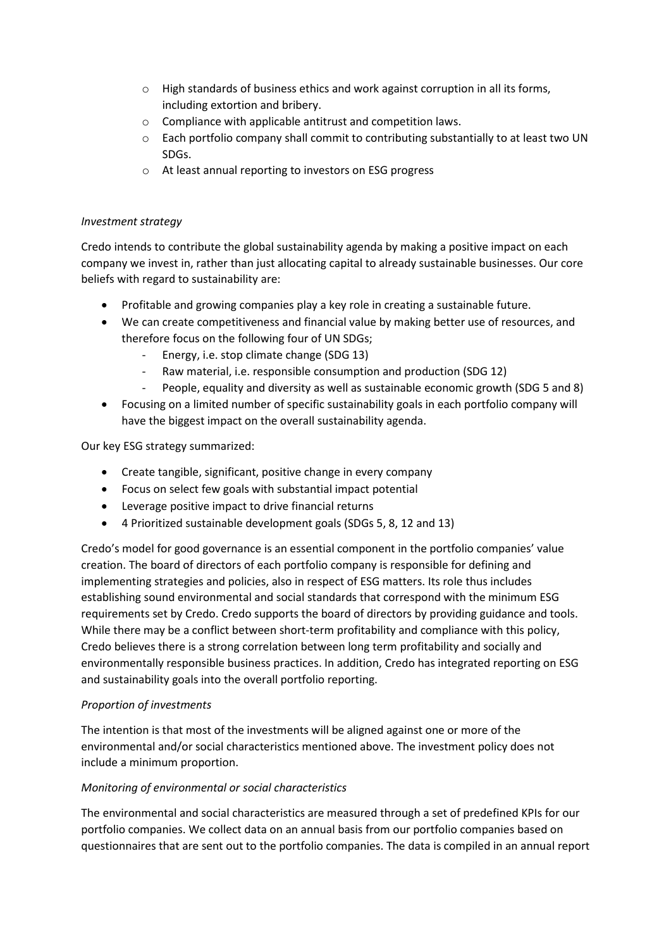- $\circ$  High standards of business ethics and work against corruption in all its forms, including extortion and bribery.
- o Compliance with applicable antitrust and competition laws.
- o Each portfolio company shall commit to contributing substantially to at least two UN SDGs.
- o At least annual reporting to investors on ESG progress

#### *Investment strategy*

Credo intends to contribute the global sustainability agenda by making a positive impact on each company we invest in, rather than just allocating capital to already sustainable businesses. Our core beliefs with regard to sustainability are:

- Profitable and growing companies play a key role in creating a sustainable future.
- We can create competitiveness and financial value by making better use of resources, and therefore focus on the following four of UN SDGs;
	- Energy, i.e. stop climate change (SDG 13)
	- Raw material, i.e. responsible consumption and production (SDG 12)
	- People, equality and diversity as well as sustainable economic growth (SDG 5 and 8)
- Focusing on a limited number of specific sustainability goals in each portfolio company will have the biggest impact on the overall sustainability agenda.

Our key ESG strategy summarized:

- Create tangible, significant, positive change in every company
- Focus on select few goals with substantial impact potential
- Leverage positive impact to drive financial returns
- 4 Prioritized sustainable development goals (SDGs 5, 8, 12 and 13)

Credo's model for good governance is an essential component in the portfolio companies' value creation. The board of directors of each portfolio company is responsible for defining and implementing strategies and policies, also in respect of ESG matters. Its role thus includes establishing sound environmental and social standards that correspond with the minimum ESG requirements set by Credo. Credo supports the board of directors by providing guidance and tools. While there may be a conflict between short-term profitability and compliance with this policy, Credo believes there is a strong correlation between long term profitability and socially and environmentally responsible business practices. In addition, Credo has integrated reporting on ESG and sustainability goals into the overall portfolio reporting.

## *Proportion of investments*

The intention is that most of the investments will be aligned against one or more of the environmental and/or social characteristics mentioned above. The investment policy does not include a minimum proportion.

## *Monitoring of environmental or social characteristics*

The environmental and social characteristics are measured through a set of predefined KPIs for our portfolio companies. We collect data on an annual basis from our portfolio companies based on questionnaires that are sent out to the portfolio companies. The data is compiled in an annual report